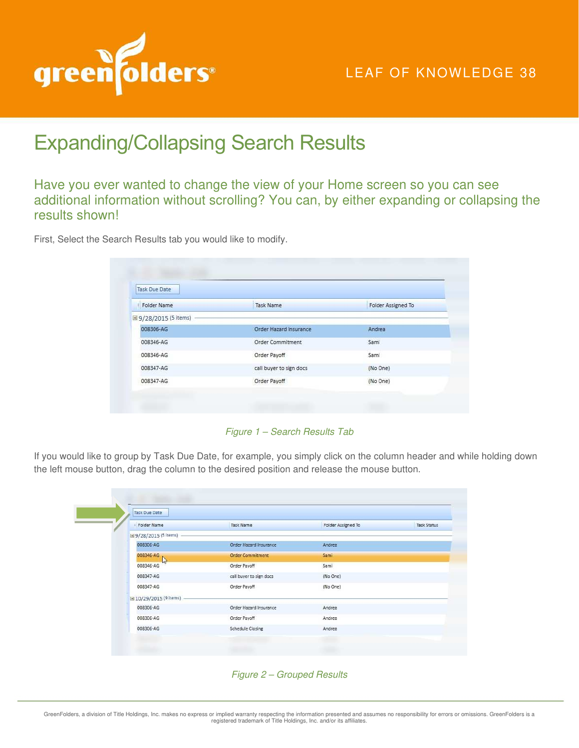

## LEAF OF KNOWLEDGE 38

## Expanding/Collapsing Search Results

Have you ever wanted to change the view of your Home screen so you can see additional information without scrolling? You can, by either expanding or collapsing the results shown!

First, Select the Search Results tab you would like to modify.

| <b>Task Due Date</b> |                         |                           |  |  |
|----------------------|-------------------------|---------------------------|--|--|
| Folder Name          | <b>Task Name</b>        | <b>Folder Assigned To</b> |  |  |
| □9/28/2015 (5 items) |                         |                           |  |  |
| 008306-AG            | Order Hazard Insurance  | Andrea                    |  |  |
| 008346-AG            | Order Commitment        | Sami                      |  |  |
| 008346-AG            | Order Payoff            | Sami                      |  |  |
| 008347-AG            | call buyer to sign docs | (No One)                  |  |  |
| 008347-AG            | Order Payoff            | (No One)                  |  |  |

Figure 1 – Search Results Tab

If you would like to group by Task Due Date, for example, you simply click on the column header and while holding down the left mouse button, drag the column to the desired position and release the mouse button.

| <b>Task Due Date</b>   |                         |                    |             |
|------------------------|-------------------------|--------------------|-------------|
| Folder Name            | <b>Task Name</b>        | Folder Assigned To | Task Status |
| ■9/28/2015 (5 items)   |                         |                    |             |
| 008306-AG              | Order Hazard Insurance  | Andrea             |             |
| 008346-AG              | <b>Order Commitment</b> | Sami               |             |
| 45<br>008346-AG        | Order Payoff            | Sami               |             |
| 008347-AG              | call buyer to sign docs | (No One)           |             |
| 008347-AG              | Order Payoff            | (No One)           |             |
| □ 10/29/2015 (9 items) |                         |                    |             |
| 008306-AG              | Order Hazard Insurance  | Andrea             |             |
| 008306-AG              | Order Payoff            | Andrea             |             |
| 008306-AG              | <b>Schedule Closing</b> | Andrea             |             |

## Figure 2 – Grouped Results